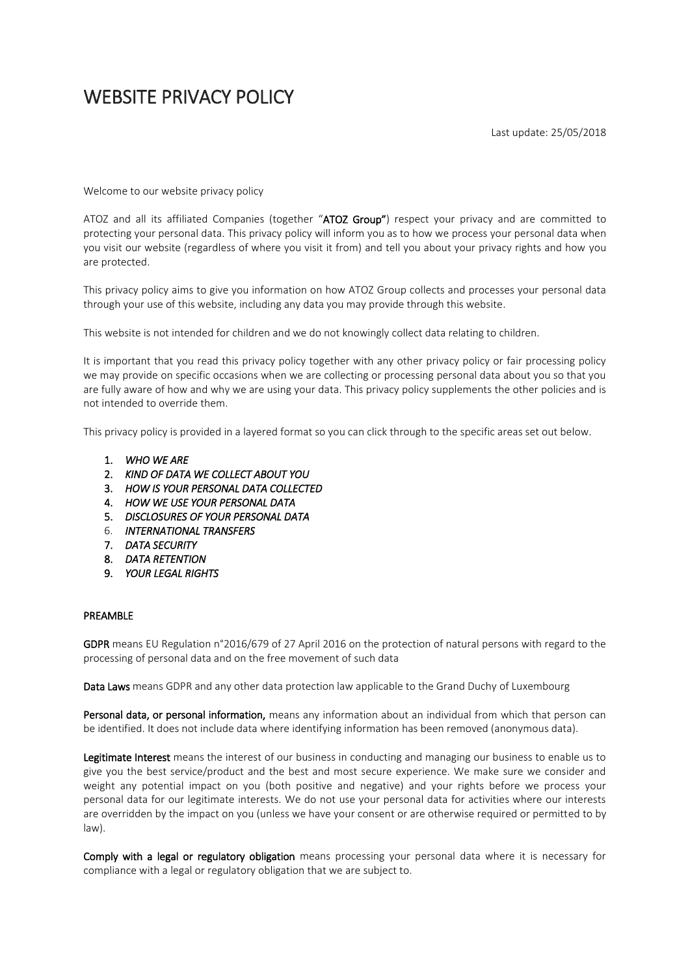# WEBSITE PRIVACY POLICY

Last update: 25/05/2018

Welcome to our website privacy policy

ATOZ and all its affiliated Companies (together "ATOZ Group") respect your privacy and are committed to protecting your personal data. This privacy policy will inform you as to how we process your personal data when you visit our website (regardless of where you visit it from) and tell you about your privacy rights and how you are protected.

This privacy policy aims to give you information on how ATOZ Group collects and processes your personal data through your use of this website, including any data you may provide through this website.

This website is not intended for children and we do not knowingly collect data relating to children.

It is important that you read this privacy policy together with any other privacy policy or fair processing policy we may provide on specific occasions when we are collecting or processing personal data about you so that you are fully aware of how and why we are using your data. This privacy policy supplements the other policies and is not intended to override them.

This privacy policy is provided in a layered format so you can click through to the specific areas set out below.

- 1. *WHO WE ARE*
- 2. *KIND OF DATA WE COLLECT ABOUT YOU*
- 3. *HOW IS YOUR PERSONAL DATA COLLECTED*
- 4. *HOW WE USE YOUR PERSONAL DATA*
- 5. *DISCLOSURES OF YOUR PERSONAL DATA*
- 6. *INTERNATIONAL TRANSFERS*
- 7. *DATA SECURITY*
- 8. *DATA RETENTION*
- 9. *YOUR LEGAL RIGHTS*

#### PREAMBLE

GDPR means EU Regulation n°2016/679 of 27 April 2016 on the protection of natural persons with regard to the processing of personal data and on the free movement of such data

Data Laws means GDPR and any other data protection law applicable to the Grand Duchy of Luxembourg

Personal data, or personal information, means any information about an individual from which that person can be identified. It does not include data where identifying information has been removed (anonymous data).

Legitimate Interest means the interest of our business in conducting and managing our business to enable us to give you the best service/product and the best and most secure experience. We make sure we consider and weight any potential impact on you (both positive and negative) and your rights before we process your personal data for our legitimate interests. We do not use your personal data for activities where our interests are overridden by the impact on you (unless we have your consent or are otherwise required or permitted to by law).

Comply with a legal or regulatory obligation means processing your personal data where it is necessary for compliance with a legal or regulatory obligation that we are subject to.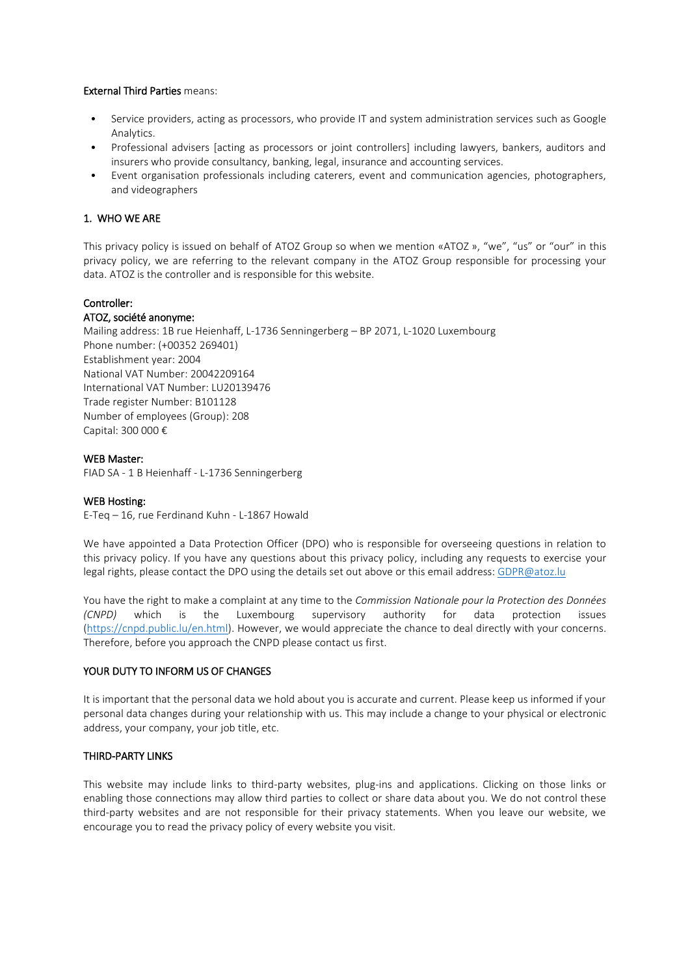## External Third Parties means:

- Service providers, acting as processors, who provide IT and system administration services such as Google Analytics.
- Professional advisers [acting as processors or joint controllers] including lawyers, bankers, auditors and insurers who provide consultancy, banking, legal, insurance and accounting services.
- Event organisation professionals including caterers, event and communication agencies, photographers, and videographers

## 1. WHO WE ARE

This privacy policy is issued on behalf of ATOZ Group so when we mention «ATOZ », "we", "us" or "our" in this privacy policy, we are referring to the relevant company in the ATOZ Group responsible for processing your data. ATOZ is the controller and is responsible for this website.

### Controller:

### ATOZ, société anonyme:

Mailing address: 1B rue Heienhaff, L-1736 Senningerberg – BP 2071, L-1020 Luxembourg Phone number: (+00352 269401) Establishment year: 2004 National VAT Number: 20042209164 International VAT Number: LU20139476 Trade register Number: B101128 Number of employees (Group): 208 Capital: 300 000 €

#### WEB Master:

FIAD SA - 1 B Heienhaff - L-1736 Senningerberg

#### WEB Hosting:

E-Teq – 16, rue Ferdinand Kuhn - L-1867 Howald

We have appointed a Data Protection Officer (DPO) who is responsible for overseeing questions in relation to this privacy policy. If you have any questions about this privacy policy, including any requests to exercise your legal rights, please contact the DPO using the details set out above or this email address[: GDPR@atoz.lu](mailto:GDPR@atoz.lu) 

You have the right to make a complaint at any time to the *Commission Nationale pour la Protection des Données (CNPD)* which is the Luxembourg supervisory authority for data protection issues [\(https://cnpd.public.lu/en.html\)](https://cnpd.public.lu/en.html). However, we would appreciate the chance to deal directly with your concerns. Therefore, before you approach the CNPD please contact us first.

#### YOUR DUTY TO INFORM US OF CHANGES

It is important that the personal data we hold about you is accurate and current. Please keep us informed if your personal data changes during your relationship with us. This may include a change to your physical or electronic address, your company, your job title, etc.

### THIRD-PARTY LINKS

This website may include links to third-party websites, plug-ins and applications. Clicking on those links or enabling those connections may allow third parties to collect or share data about you. We do not control these third-party websites and are not responsible for their privacy statements. When you leave our website, we encourage you to read the privacy policy of every website you visit.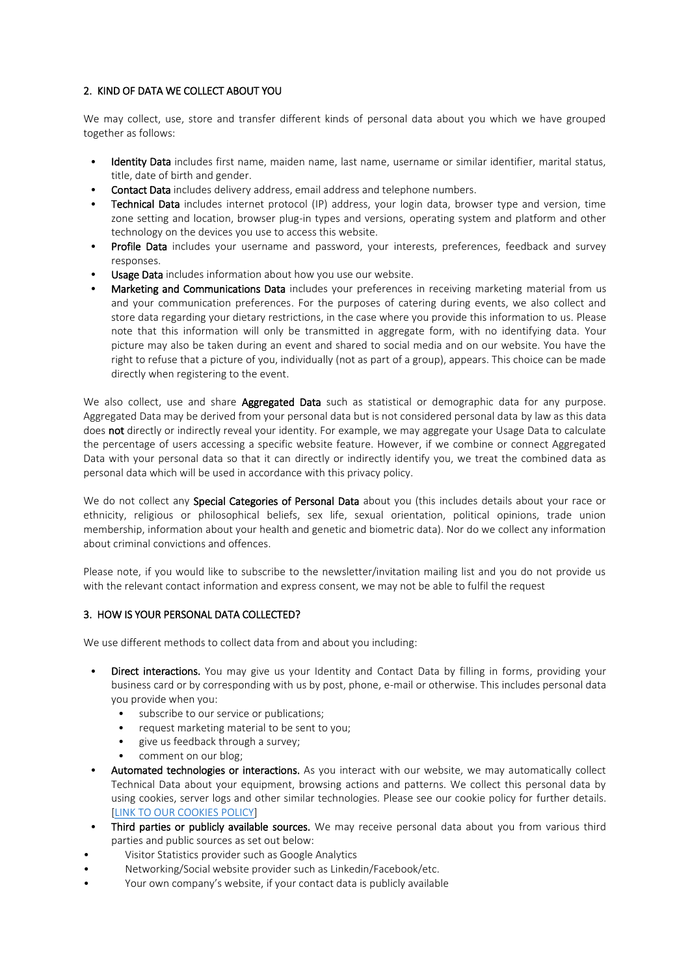# 2. KIND OF DATA WE COLLECT ABOUT YOU

We may collect, use, store and transfer different kinds of personal data about you which we have grouped together as follows:

- Identity Data includes first name, maiden name, last name, username or similar identifier, marital status, title, date of birth and gender.
- Contact Data includes delivery address, email address and telephone numbers.
- Technical Data includes internet protocol (IP) address, your login data, browser type and version, time zone setting and location, browser plug-in types and versions, operating system and platform and other technology on the devices you use to access this website.
- Profile Data includes your username and password, your interests, preferences, feedback and survey responses.
- Usage Data includes information about how you use our website.
- Marketing and Communications Data includes your preferences in receiving marketing material from us and your communication preferences. For the purposes of catering during events, we also collect and store data regarding your dietary restrictions, in the case where you provide this information to us. Please note that this information will only be transmitted in aggregate form, with no identifying data. Your picture may also be taken during an event and shared to social media and on our website. You have the right to refuse that a picture of you, individually (not as part of a group), appears. This choice can be made directly when registering to the event.

We also collect, use and share **Aggregated Data** such as statistical or demographic data for any purpose. Aggregated Data may be derived from your personal data but is not considered personal data by law as this data does not directly or indirectly reveal your identity. For example, we may aggregate your Usage Data to calculate the percentage of users accessing a specific website feature. However, if we combine or connect Aggregated Data with your personal data so that it can directly or indirectly identify you, we treat the combined data as personal data which will be used in accordance with this privacy policy.

We do not collect any Special Categories of Personal Data about you (this includes details about your race or ethnicity, religious or philosophical beliefs, sex life, sexual orientation, political opinions, trade union membership, information about your health and genetic and biometric data). Nor do we collect any information about criminal convictions and offences.

Please note, if you would like to subscribe to the newsletter/invitation mailing list and you do not provide us with the relevant contact information and express consent, we may not be able to fulfil the request

# 3. HOW IS YOUR PERSONAL DATA COLLECTED?

We use different methods to collect data from and about you including:

- Direct interactions. You may give us your Identity and Contact Data by filling in forms, providing vour business card or by corresponding with us by post, phone, e-mail or otherwise. This includes personal data you provide when you:
	- subscribe to our service or publications;
	- request marketing material to be sent to you;
	- give us feedback through a survey;
	- comment on our blog;
- Automated technologies or interactions. As you interact with our website, we may automatically collect Technical Data about your equipment, browsing actions and patterns. We collect this personal data by using cookies, server logs and other similar technologies. Please see our cookie policy for further details. [\[LINK TO OUR COOKIES POLICY\]](https://www.atoz.lu/cookies-policy)
- Third parties or publicly available sources. We may receive personal data about you from various third parties and public sources as set out below:
- Visitor Statistics provider such as Google Analytics
- Networking/Social website provider such as Linkedin/Facebook/etc.
- Your own company's website, if your contact data is publicly available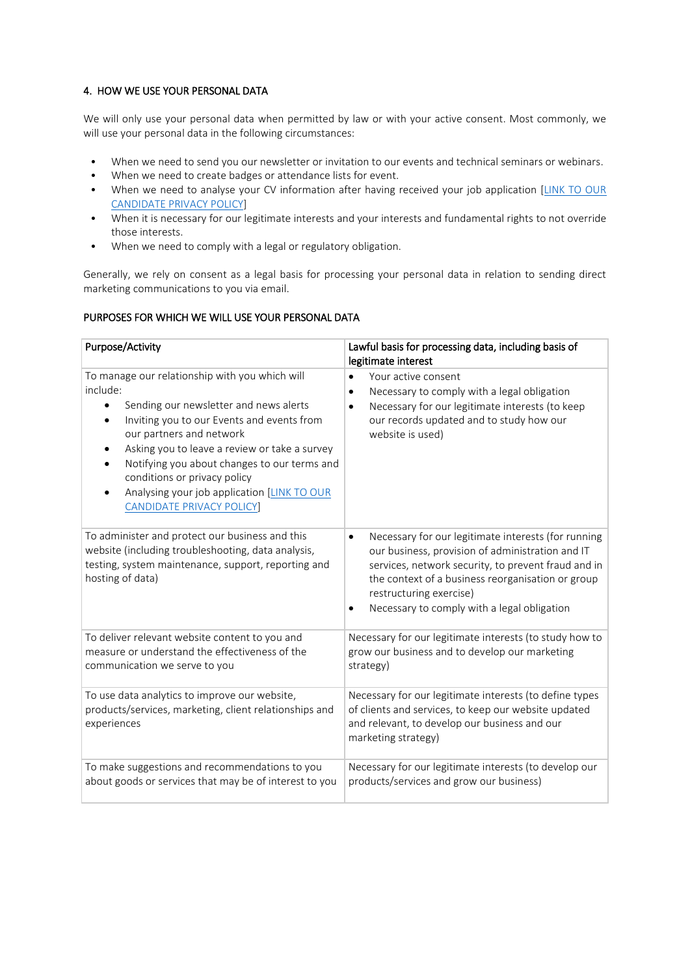# 4. HOW WE USE YOUR PERSONAL DATA

We will only use your personal data when permitted by law or with your active consent. Most commonly, we will use your personal data in the following circumstances:

- When we need to send you our newsletter or invitation to our events and technical seminars or webinars.
- When we need to create badges or attendance lists for event.
- When we need to analyse your CV information after having received your job application [\[LINK TO OUR](https://www.atoz.lu/candidate-privacy-policy)  [CANDIDATE PRIVACY POLICY\]](https://www.atoz.lu/candidate-privacy-policy)
- When it is necessary for our legitimate interests and your interests and fundamental rights to not override those interests.
- When we need to comply with a legal or regulatory obligation.

Generally, we rely on consent as a legal basis for processing your personal data in relation to sending direct marketing communications to you via email.

# PURPOSES FOR WHICH WE WILL USE YOUR PERSONAL DATA

| Purpose/Activity                                                                                                                                                                                                                                                                                                                                                                                               | Lawful basis for processing data, including basis of<br>legitimate interest                                                                                                                                                                                                                                |
|----------------------------------------------------------------------------------------------------------------------------------------------------------------------------------------------------------------------------------------------------------------------------------------------------------------------------------------------------------------------------------------------------------------|------------------------------------------------------------------------------------------------------------------------------------------------------------------------------------------------------------------------------------------------------------------------------------------------------------|
| To manage our relationship with you which will<br>include:<br>Sending our newsletter and news alerts<br>Inviting you to our Events and events from<br>our partners and network<br>Asking you to leave a review or take a survey<br>$\bullet$<br>Notifying you about changes to our terms and<br>conditions or privacy policy<br>Analysing your job application [LINK TO OUR<br><b>CANDIDATE PRIVACY POLICY</b> | Your active consent<br>$\bullet$<br>Necessary to comply with a legal obligation<br>$\bullet$<br>Necessary for our legitimate interests (to keep<br>our records updated and to study how our<br>website is used)                                                                                            |
| To administer and protect our business and this<br>website (including troubleshooting, data analysis,<br>testing, system maintenance, support, reporting and<br>hosting of data)                                                                                                                                                                                                                               | Necessary for our legitimate interests (for running<br>$\bullet$<br>our business, provision of administration and IT<br>services, network security, to prevent fraud and in<br>the context of a business reorganisation or group<br>restructuring exercise)<br>Necessary to comply with a legal obligation |
| To deliver relevant website content to you and<br>measure or understand the effectiveness of the<br>communication we serve to you                                                                                                                                                                                                                                                                              | Necessary for our legitimate interests (to study how to<br>grow our business and to develop our marketing<br>strategy)                                                                                                                                                                                     |
| To use data analytics to improve our website,<br>products/services, marketing, client relationships and<br>experiences                                                                                                                                                                                                                                                                                         | Necessary for our legitimate interests (to define types<br>of clients and services, to keep our website updated<br>and relevant, to develop our business and our<br>marketing strategy)                                                                                                                    |
| To make suggestions and recommendations to you<br>about goods or services that may be of interest to you                                                                                                                                                                                                                                                                                                       | Necessary for our legitimate interests (to develop our<br>products/services and grow our business)                                                                                                                                                                                                         |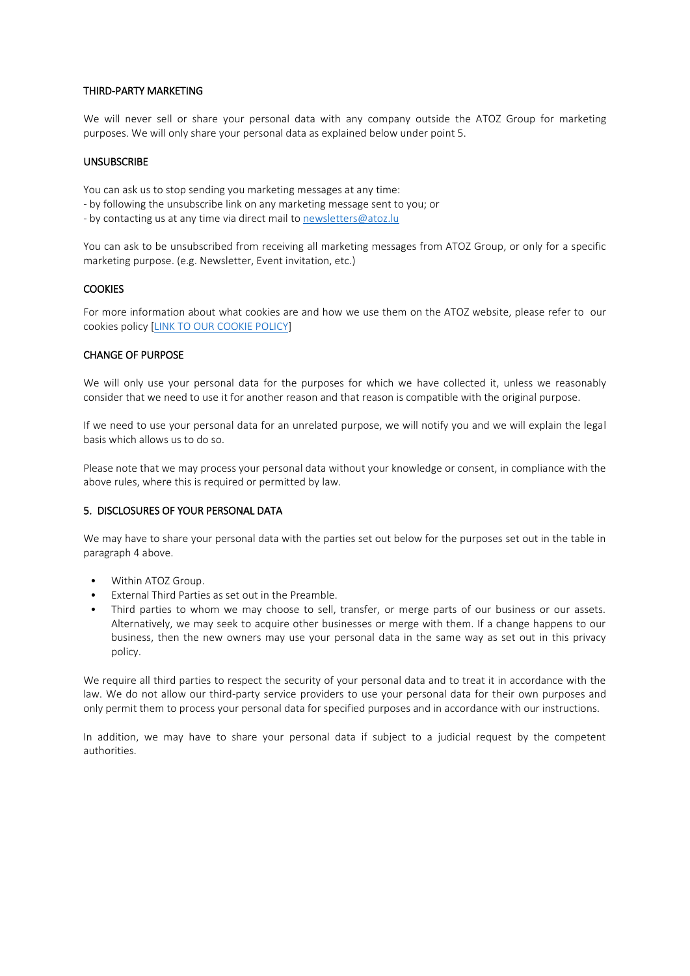## THIRD-PARTY MARKETING

We will never sell or share your personal data with any company outside the ATOZ Group for marketing purposes. We will only share your personal data as explained below under point 5.

## UNSUBSCRIBE

You can ask us to stop sending you marketing messages at any time:

- by following the unsubscribe link on any marketing message sent to you; or
- by contacting us at any time via direct mail t[o newsletters@atoz.lu](mailto:newsletters@atoz.lu)

You can ask to be unsubscribed from receiving all marketing messages from ATOZ Group, or only for a specific marketing purpose. (e.g. Newsletter, Event invitation, etc.)

### **COOKIES**

For more information about what cookies are and how we use them on the ATOZ website, please refer to our cookies policy [\[LINK TO OUR COOKIE POLICY\]](https://www.atoz.lu/cookies-policy)

## CHANGE OF PURPOSE

We will only use your personal data for the purposes for which we have collected it, unless we reasonably consider that we need to use it for another reason and that reason is compatible with the original purpose.

If we need to use your personal data for an unrelated purpose, we will notify you and we will explain the legal basis which allows us to do so.

Please note that we may process your personal data without your knowledge or consent, in compliance with the above rules, where this is required or permitted by law.

## 5. DISCLOSURES OF YOUR PERSONAL DATA

We may have to share your personal data with the parties set out below for the purposes set out in the table in paragraph 4 above.

- Within ATOZ Group.
- External Third Parties as set out in the Preamble.
- Third parties to whom we may choose to sell, transfer, or merge parts of our business or our assets. Alternatively, we may seek to acquire other businesses or merge with them. If a change happens to our business, then the new owners may use your personal data in the same way as set out in this privacy policy.

We require all third parties to respect the security of your personal data and to treat it in accordance with the law. We do not allow our third-party service providers to use your personal data for their own purposes and only permit them to process your personal data for specified purposes and in accordance with our instructions.

In addition, we may have to share your personal data if subject to a judicial request by the competent authorities.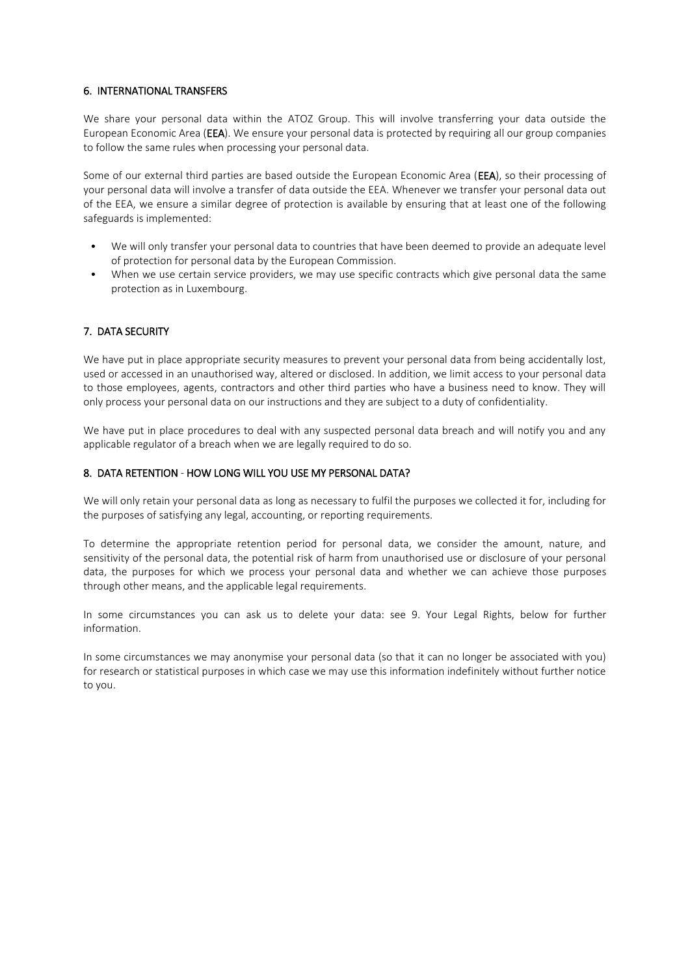# 6. INTERNATIONAL TRANSFERS

We share your personal data within the ATOZ Group. This will involve transferring your data outside the European Economic Area (EEA). We ensure your personal data is protected by requiring all our group companies to follow the same rules when processing your personal data.

Some of our external third parties are based outside the European Economic Area (EEA), so their processing of your personal data will involve a transfer of data outside the EEA. Whenever we transfer your personal data out of the EEA, we ensure a similar degree of protection is available by ensuring that at least one of the following safeguards is implemented:

- We will only transfer your personal data to countries that have been deemed to provide an adequate level of protection for personal data by the European Commission.
- When we use certain service providers, we may use specific contracts which give personal data the same protection as in Luxembourg.

# 7. DATA SECURITY

We have put in place appropriate security measures to prevent your personal data from being accidentally lost, used or accessed in an unauthorised way, altered or disclosed. In addition, we limit access to your personal data to those employees, agents, contractors and other third parties who have a business need to know. They will only process your personal data on our instructions and they are subject to a duty of confidentiality.

We have put in place procedures to deal with any suspected personal data breach and will notify you and any applicable regulator of a breach when we are legally required to do so.

## 8. DATA RETENTION - HOW LONG WILL YOU USE MY PERSONAL DATA?

We will only retain your personal data as long as necessary to fulfil the purposes we collected it for, including for the purposes of satisfying any legal, accounting, or reporting requirements.

To determine the appropriate retention period for personal data, we consider the amount, nature, and sensitivity of the personal data, the potential risk of harm from unauthorised use or disclosure of your personal data, the purposes for which we process your personal data and whether we can achieve those purposes through other means, and the applicable legal requirements.

In some circumstances you can ask us to delete your data: see 9. Your Legal Rights, below for further information.

In some circumstances we may anonymise your personal data (so that it can no longer be associated with you) for research or statistical purposes in which case we may use this information indefinitely without further notice to you.